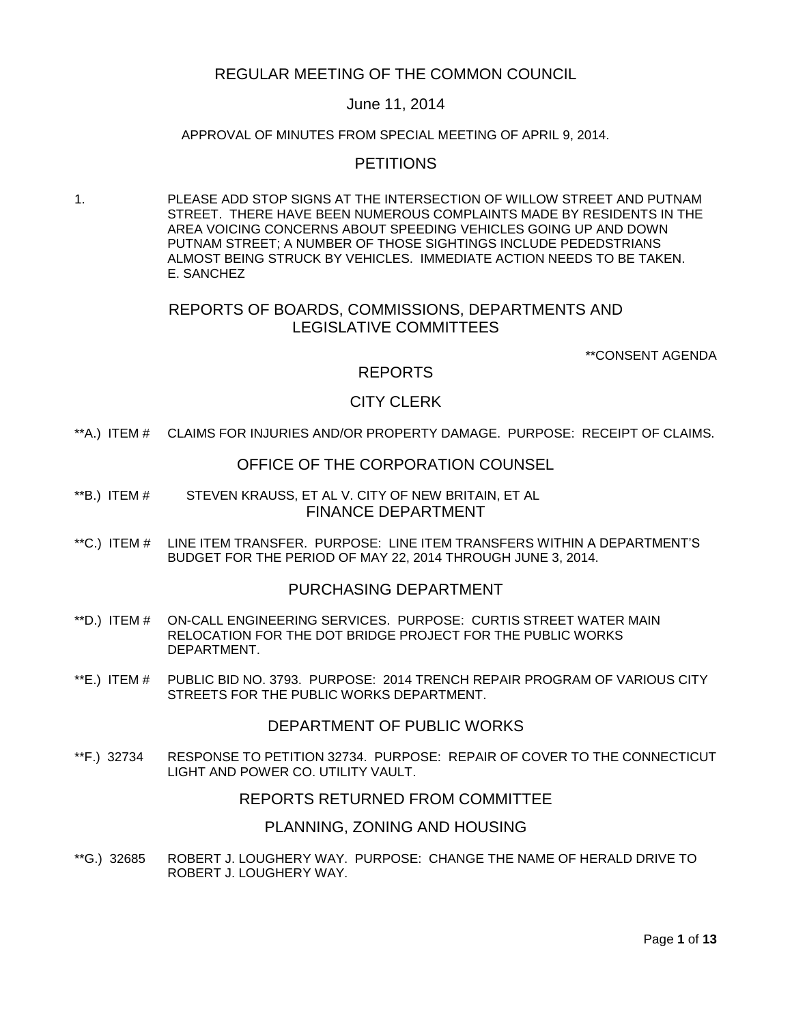# REGULAR MEETING OF THE COMMON COUNCIL

## June 11, 2014

### APPROVAL OF MINUTES FROM SPECIAL MEETING OF APRIL 9, 2014.

## PETITIONS

1. PLEASE ADD STOP SIGNS AT THE INTERSECTION OF WILLOW STREET AND PUTNAM STREET. THERE HAVE BEEN NUMEROUS COMPLAINTS MADE BY RESIDENTS IN THE AREA VOICING CONCERNS ABOUT SPEEDING VEHICLES GOING UP AND DOWN PUTNAM STREET; A NUMBER OF THOSE SIGHTINGS INCLUDE PEDEDSTRIANS ALMOST BEING STRUCK BY VEHICLES. IMMEDIATE ACTION NEEDS TO BE TAKEN. E. SANCHEZ

# REPORTS OF BOARDS, COMMISSIONS, DEPARTMENTS AND LEGISLATIVE COMMITTEES

\*\*CONSENT AGENDA

## REPORTS

## CITY CLERK

\*\*A.) ITEM # [CLAIMS FOR INJURIES AND/OR PROPERTY DAMAGE. PURPOSE: RECEIPT OF CLAIMS.](#page-2-0)

## OFFICE OF THE CORPORATION COUNSEL

- \*\*B.) ITEM # STEVEN KRAUSS, ET AL V. [CITY OF NEW BRITAIN, ET AL](#page-2-1) FINANCE DEPARTMENT
- \*\*C.) ITEM # [LINE ITEM TRANSFER. PURPOSE: LINE ITEM TRANSFERS](#page-3-0) WITHIN A DEPARTMENT'S [BUDGET FOR THE PERIOD OF MAY 22, 2014 THROUGH JUNE 3, 2014.](#page-3-0)

### PURCHASING DEPARTMENT

- \*\*D.) ITEM # [ON-CALL ENGINEERING SERVICES. PURPOSE: CURTIS STREET WATER MAIN](#page-3-1)  [RELOCATION FOR THE DOT BRIDGE PROJECT FOR THE PUBLIC WORKS](#page-3-1)  [DEPARTMENT.](#page-3-1)
- \*\*E.) ITEM # [PUBLIC BID NO. 3793. PURPOSE: 2014 TRENCH REPAIR PROGRAM OF VARIOUS CITY](#page-4-0)  [STREETS FOR THE PUBLIC WORKS DEPARTMENT.](#page-4-0)

## DEPARTMENT OF PUBLIC WORKS

\*\*F.) 32734 [RESPONSE TO PETITION 32734. PURPOSE: REPAIR OF COVER TO THE CONNECTICUT](#page-5-0)  [LIGHT AND POWER CO. UTILITY VAULT.](#page-5-0)

## REPORTS RETURNED FROM COMMITTEE

### PLANNING, ZONING AND HOUSING

\*\*G.) 32685 [ROBERT J. LOUGHERY WAY. PURPOSE: CHANGE THE NAME OF HERALD DRIVE TO](#page-5-1)  [ROBERT J. LOUGHERY WAY.](#page-5-1)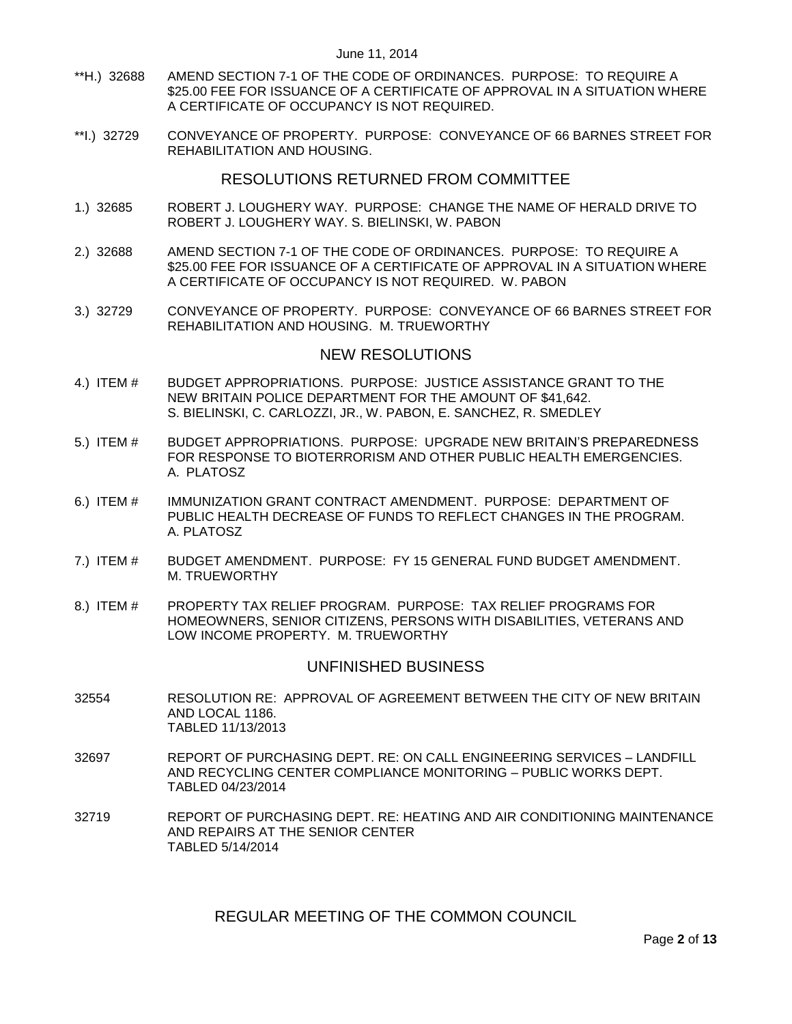- \*\*H.) 32688 [AMEND SECTION 7-1 OF THE CODE OF ORDINANCES. PURPOSE: TO REQUIRE A](#page-6-0)  [\\$25.00 FEE FOR ISSUANCE OF A CERTIFICATE OF APPROVAL IN A SITUATION WHERE](#page-6-0)  [A CERTIFICATE OF OCCUPANCY IS NOT REQUIRED.](#page-6-0)
- \*\*I.) 32729 [CONVEYANCE OF PROPERTY. PURPOSE: CONVEYANCE OF](#page-6-1) 66 BARNES STREET FOR [REHABILITATION AND HOUSING.](#page-6-1)

### RESOLUTIONS RETURNED FROM COMMITTEE

- 1.) 32685 [ROBERT J. LOUGHERY WAY. PURPOSE: CHANGE THE NAME OF HERALD DRIVE TO](#page-6-2)  [ROBERT J. LOUGHERY WAY. S. BIELINSKI, W. PABON](#page-6-2)
- 2.) 32688 [AMEND SECTION 7-1 OF THE CODE OF ORDINANCES. PURPOSE: TO REQUIRE A](#page-7-0)  [\\$25.00 FEE FOR ISSUANCE OF A CERTIFICATE OF APPROVAL IN A SITUATION WHERE](#page-7-0)  [A CERTIFICATE OF OCCUPANCY IS NOT REQUIRED. W. PABON](#page-7-0)
- 3.) 32729 [CONVEYANCE OF PROPERTY. PURPOSE: CONVEYANCE OF](#page-8-0) 66 BARNES STREET FOR [REHABILITATION AND HOUSING. M. TRUEWORTHY](#page-8-0)

### NEW RESOLUTIONS

- 4.) ITEM # [BUDGET APPROPRIATIONS. PURPOSE: JUSTICE ASSISTANCE GRANT TO THE](#page-8-1)  [NEW BRITAIN POLICE DEPARTMENT FOR THE AMOUNT OF \\$41,642.](#page-8-1) [S. BIELINSKI, C. CARLOZZI, JR., W. PABON, E. SANCHEZ, R. SMEDLEY](#page-8-1)
- 5.) ITEM # [BUDGET APPROPRIATIONS. PURPOSE: UPGRADE NEW BRITAIN'S PREPAREDNESS](#page-9-0)  [FOR RESPONSE TO BIOTERRORISM AND OTHER PUBLIC HEALTH EMERGENCIES.](#page-9-0)  A. [PLATOSZ](#page-9-0)
- 6.) ITEM # [IMMUNIZATION GRANT CONTRACT AMENDMENT. PURPOSE: DEPARTMENT OF](#page-10-0)  [PUBLIC HEALTH DECREASE OF FUNDS TO REFLECT CHANGES IN THE PROGRAM.](#page-10-0)  [A. PLATOSZ](#page-10-0)
- 7.) ITEM # [BUDGET AMENDMENT. PURPOSE: FY 15 GENERAL FUND BUDGET AMENDMENT.](#page-11-0) [M. TRUEWORTHY](#page-11-0)
- 8.) ITEM # [PROPERTY TAX RELIEF PROGRAM. PURPOSE: TAX RELIEF PROGRAMS FOR](#page-12-0)  [HOMEOWNERS, SENIOR CITIZENS, PERSONS WITH DISABILITIES, VETERANS AND](#page-12-0)  [LOW INCOME PROPERTY. M. TRUEWORTHY](#page-12-0)

## UNFINISHED BUSINESS

- 32554 RESOLUTION RE: APPROVAL OF AGREEMENT BETWEEN THE CITY OF NEW BRITAIN AND LOCAL 1186. TABLED 11/13/2013
- 32697 REPORT OF PURCHASING DEPT. RE: ON CALL ENGINEERING SERVICES LANDFILL AND RECYCLING CENTER COMPLIANCE MONITORING – PUBLIC WORKS DEPT. TABLED 04/23/2014
- 32719 REPORT OF PURCHASING DEPT. RE: HEATING AND AIR CONDITIONING MAINTENANCE AND REPAIRS AT THE SENIOR CENTER TABLED 5/14/2014

REGULAR MEETING OF THE COMMON COUNCIL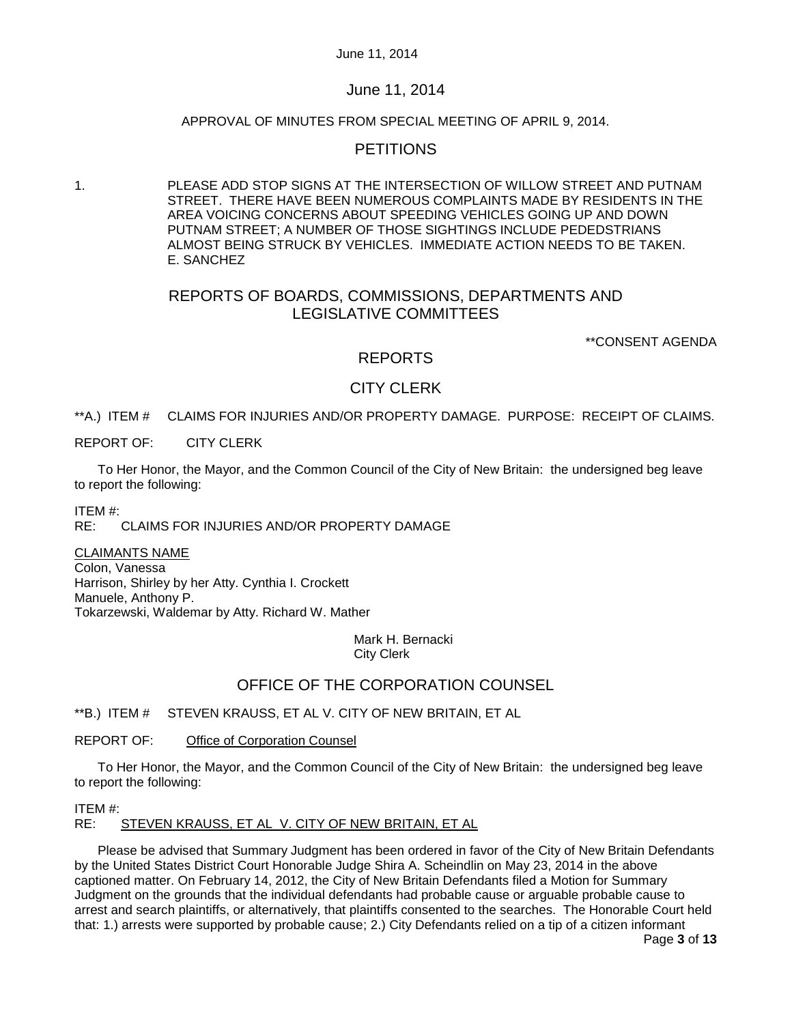### APPROVAL OF MINUTES FROM SPECIAL MEETING OF APRIL 9, 2014.

## PETITIONS

1. PLEASE ADD STOP SIGNS AT THE INTERSECTION OF WILLOW STREET AND PUTNAM STREET. THERE HAVE BEEN NUMEROUS COMPLAINTS MADE BY RESIDENTS IN THE AREA VOICING CONCERNS ABOUT SPEEDING VEHICLES GOING UP AND DOWN PUTNAM STREET; A NUMBER OF THOSE SIGHTINGS INCLUDE PEDEDSTRIANS ALMOST BEING STRUCK BY VEHICLES. IMMEDIATE ACTION NEEDS TO BE TAKEN. E. SANCHEZ

# REPORTS OF BOARDS, COMMISSIONS, DEPARTMENTS AND LEGISLATIVE COMMITTEES

\*\*CONSENT AGENDA

## REPORTS

# CITY CLERK

<span id="page-2-0"></span>\*\*A.) ITEM # CLAIMS FOR INJURIES AND/OR PROPERTY DAMAGE. PURPOSE: RECEIPT OF CLAIMS.

REPORT OF: CITY CLERK

To Her Honor, the Mayor, and the Common Council of the City of New Britain: the undersigned beg leave to report the following:

ITEM #: RE: CLAIMS FOR INJURIES AND/OR PROPERTY DAMAGE

CLAIMANTS NAME Colon, Vanessa Harrison, Shirley by her Atty. Cynthia I. Crockett Manuele, Anthony P. Tokarzewski, Waldemar by Atty. Richard W. Mather

> Mark H. Bernacki City Clerk

# OFFICE OF THE CORPORATION COUNSEL

<span id="page-2-1"></span>\*\*B.) ITEM # STEVEN KRAUSS, ET AL V. CITY OF NEW BRITAIN, ET AL

REPORT OF: Office of Corporation Counsel

To Her Honor, the Mayor, and the Common Council of the City of New Britain: the undersigned beg leave to report the following:

### ITEM #:

RE: STEVEN KRAUSS, ET AL V. CITY OF NEW BRITAIN, ET AL

Please be advised that Summary Judgment has been ordered in favor of the City of New Britain Defendants by the United States District Court Honorable Judge Shira A. Scheindlin on May 23, 2014 in the above captioned matter. On February 14, 2012, the City of New Britain Defendants filed a Motion for Summary Judgment on the grounds that the individual defendants had probable cause or arguable probable cause to arrest and search plaintiffs, or alternatively, that plaintiffs consented to the searches. The Honorable Court held that: 1.) arrests were supported by probable cause; 2.) City Defendants relied on a tip of a citizen informant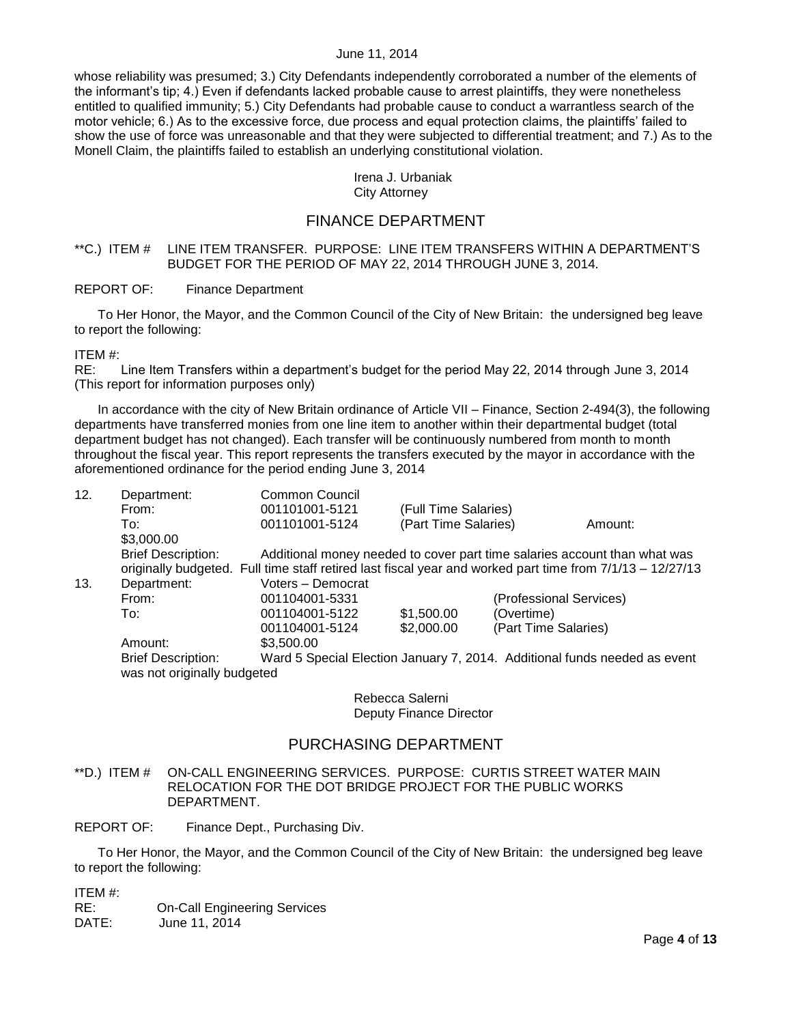whose reliability was presumed; 3.) City Defendants independently corroborated a number of the elements of the informant's tip; 4.) Even if defendants lacked probable cause to arrest plaintiffs, they were nonetheless entitled to qualified immunity; 5.) City Defendants had probable cause to conduct a warrantless search of the motor vehicle; 6.) As to the excessive force, due process and equal protection claims, the plaintiffs' failed to show the use of force was unreasonable and that they were subjected to differential treatment; and 7.) As to the Monell Claim, the plaintiffs failed to establish an underlying constitutional violation.

#### Irena J. Urbaniak City Attorney

# FINANCE DEPARTMENT

<span id="page-3-0"></span>\*\*C.) ITEM # LINE ITEM TRANSFER. PURPOSE: LINE ITEM TRANSFERS WITHIN A DEPARTMENT'S BUDGET FOR THE PERIOD OF MAY 22, 2014 THROUGH JUNE 3, 2014.

### REPORT OF: Finance Department

To Her Honor, the Mayor, and the Common Council of the City of New Britain: the undersigned beg leave to report the following:

#### ITEM #:

RE: Line Item Transfers within a department's budget for the period May 22, 2014 through June 3, 2014 (This report for information purposes only)

In accordance with the city of New Britain ordinance of Article VII – Finance, Section 2-494(3), the following departments have transferred monies from one line item to another within their departmental budget (total department budget has not changed). Each transfer will be continuously numbered from month to month throughout the fiscal year. This report represents the transfers executed by the mayor in accordance with the aforementioned ordinance for the period ending June 3, 2014

| 12. | Department:                                                                                               | <b>Common Council</b> |                      |                         |                                                                           |
|-----|-----------------------------------------------------------------------------------------------------------|-----------------------|----------------------|-------------------------|---------------------------------------------------------------------------|
|     | From:                                                                                                     | 001101001-5121        | (Full Time Salaries) |                         |                                                                           |
|     | To:                                                                                                       | 001101001-5124        | (Part Time Salaries) |                         | Amount:                                                                   |
|     | \$3,000.00                                                                                                |                       |                      |                         |                                                                           |
|     | <b>Brief Description:</b>                                                                                 |                       |                      |                         | Additional money needed to cover part time salaries account than what was |
|     | originally budgeted. Full time staff retired last fiscal year and worked part time from 7/1/13 - 12/27/13 |                       |                      |                         |                                                                           |
| 13. | Department:                                                                                               | Voters - Democrat     |                      |                         |                                                                           |
|     | From:                                                                                                     | 001104001-5331        |                      | (Professional Services) |                                                                           |
|     | To:                                                                                                       | 001104001-5122        | \$1,500.00           | (Overtime)              |                                                                           |
|     |                                                                                                           | 001104001-5124        | \$2,000.00           | (Part Time Salaries)    |                                                                           |
|     | Amount:                                                                                                   | \$3,500.00            |                      |                         |                                                                           |
|     | <b>Brief Description:</b>                                                                                 |                       |                      |                         | Ward 5 Special Election January 7, 2014. Additional funds needed as event |
|     | was not originally budgeted                                                                               |                       |                      |                         |                                                                           |
|     |                                                                                                           |                       |                      |                         |                                                                           |

Rebecca Salerni Deputy Finance Director

## PURCHASING DEPARTMENT

<span id="page-3-1"></span>\*\*D.) ITEM # ON-CALL ENGINEERING SERVICES. PURPOSE: CURTIS STREET WATER MAIN RELOCATION FOR THE DOT BRIDGE PROJECT FOR THE PUBLIC WORKS DEPARTMENT.

REPORT OF: Finance Dept., Purchasing Div.

To Her Honor, the Mayor, and the Common Council of the City of New Britain: the undersigned beg leave to report the following:

ITEM #:

RE: On-Call Engineering Services DATE: June 11, 2014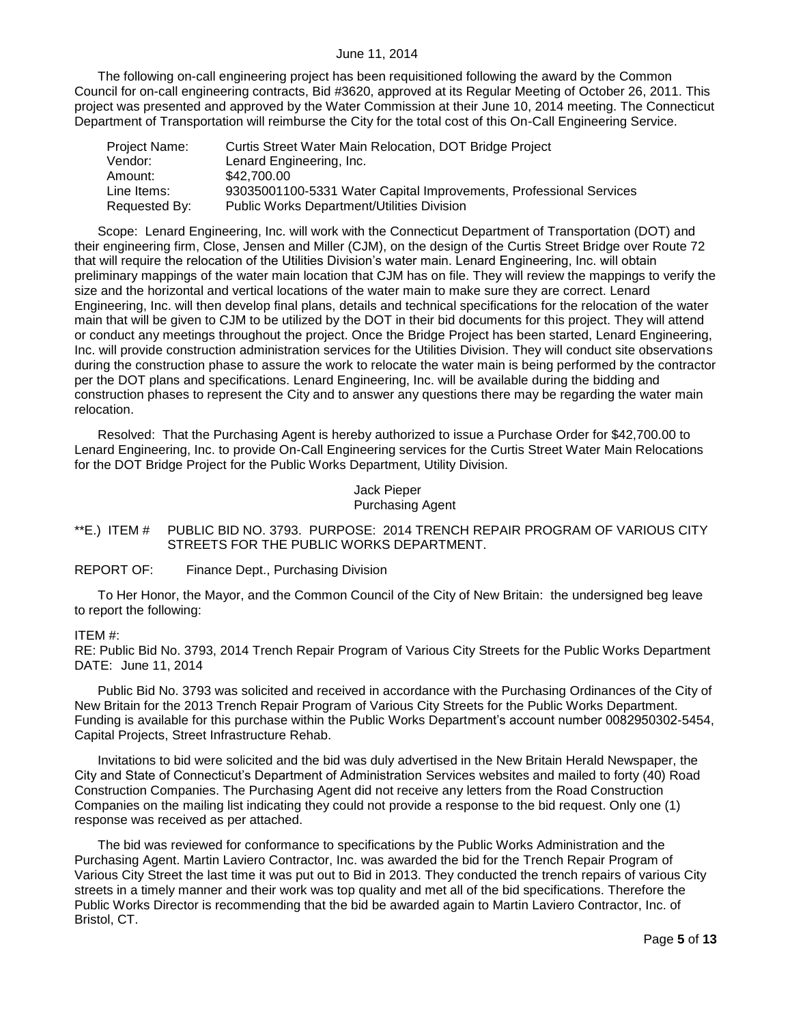The following on-call engineering project has been requisitioned following the award by the Common Council for on-call engineering contracts, Bid #3620, approved at its Regular Meeting of October 26, 2011. This project was presented and approved by the Water Commission at their June 10, 2014 meeting. The Connecticut Department of Transportation will reimburse the City for the total cost of this On-Call Engineering Service.

| Project Name: | Curtis Street Water Main Relocation, DOT Bridge Project            |
|---------------|--------------------------------------------------------------------|
| Vendor:       | Lenard Engineering, Inc.                                           |
| Amount:       | \$42,700.00                                                        |
| Line Items:   | 93035001100-5331 Water Capital Improvements, Professional Services |
| Requested By: | <b>Public Works Department/Utilities Division</b>                  |

Scope: Lenard Engineering, Inc. will work with the Connecticut Department of Transportation (DOT) and their engineering firm, Close, Jensen and Miller (CJM), on the design of the Curtis Street Bridge over Route 72 that will require the relocation of the Utilities Division's water main. Lenard Engineering, Inc. will obtain preliminary mappings of the water main location that CJM has on file. They will review the mappings to verify the size and the horizontal and vertical locations of the water main to make sure they are correct. Lenard Engineering, Inc. will then develop final plans, details and technical specifications for the relocation of the water main that will be given to CJM to be utilized by the DOT in their bid documents for this project. They will attend or conduct any meetings throughout the project. Once the Bridge Project has been started, Lenard Engineering, Inc. will provide construction administration services for the Utilities Division. They will conduct site observations during the construction phase to assure the work to relocate the water main is being performed by the contractor per the DOT plans and specifications. Lenard Engineering, Inc. will be available during the bidding and construction phases to represent the City and to answer any questions there may be regarding the water main relocation.

Resolved: That the Purchasing Agent is hereby authorized to issue a Purchase Order for \$42,700.00 to Lenard Engineering, Inc. to provide On-Call Engineering services for the Curtis Street Water Main Relocations for the DOT Bridge Project for the Public Works Department, Utility Division.

> Jack Pieper Purchasing Agent

<span id="page-4-0"></span>\*\*E.) ITEM # PUBLIC BID NO. 3793. PURPOSE: 2014 TRENCH REPAIR PROGRAM OF VARIOUS CITY STREETS FOR THE PUBLIC WORKS DEPARTMENT.

REPORT OF: Finance Dept., Purchasing Division

To Her Honor, the Mayor, and the Common Council of the City of New Britain: the undersigned beg leave to report the following:

#### ITEM #:

RE: Public Bid No. 3793, 2014 Trench Repair Program of Various City Streets for the Public Works Department DATE: June 11, 2014

Public Bid No. 3793 was solicited and received in accordance with the Purchasing Ordinances of the City of New Britain for the 2013 Trench Repair Program of Various City Streets for the Public Works Department. Funding is available for this purchase within the Public Works Department's account number 0082950302-5454, Capital Projects, Street Infrastructure Rehab.

Invitations to bid were solicited and the bid was duly advertised in the New Britain Herald Newspaper, the City and State of Connecticut's Department of Administration Services websites and mailed to forty (40) Road Construction Companies. The Purchasing Agent did not receive any letters from the Road Construction Companies on the mailing list indicating they could not provide a response to the bid request. Only one (1) response was received as per attached.

The bid was reviewed for conformance to specifications by the Public Works Administration and the Purchasing Agent. Martin Laviero Contractor, Inc. was awarded the bid for the Trench Repair Program of Various City Street the last time it was put out to Bid in 2013. They conducted the trench repairs of various City streets in a timely manner and their work was top quality and met all of the bid specifications. Therefore the Public Works Director is recommending that the bid be awarded again to Martin Laviero Contractor, Inc. of Bristol, CT.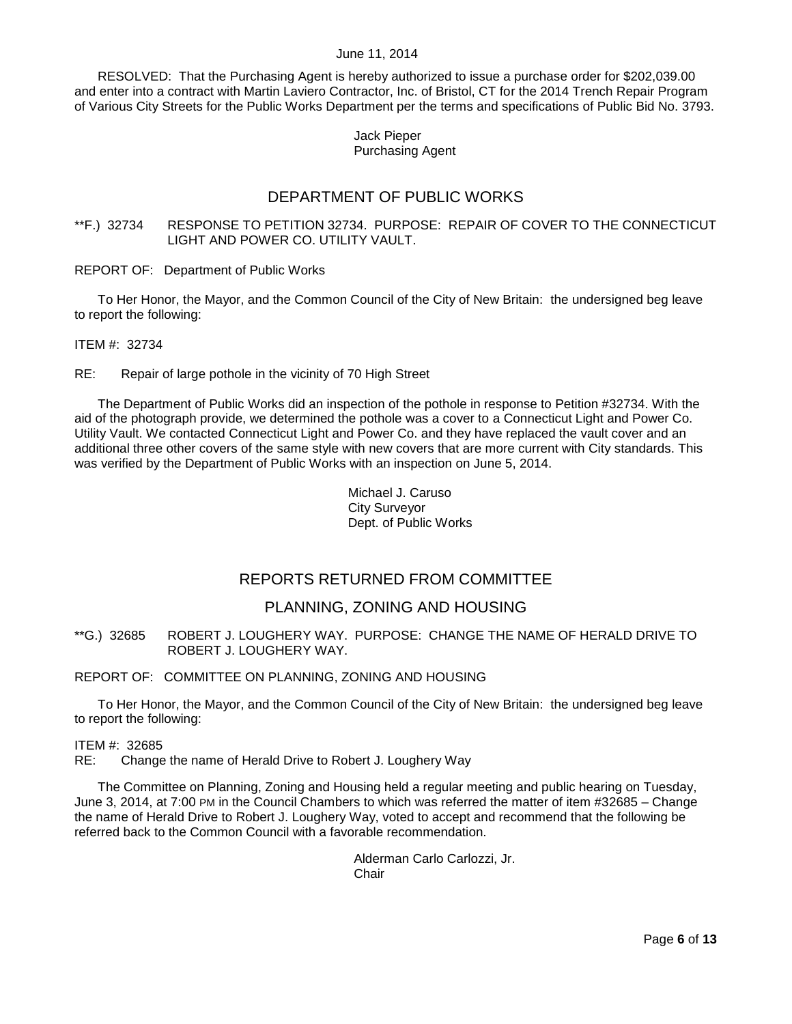RESOLVED: That the Purchasing Agent is hereby authorized to issue a purchase order for \$202,039.00 and enter into a contract with Martin Laviero Contractor, Inc. of Bristol, CT for the 2014 Trench Repair Program of Various City Streets for the Public Works Department per the terms and specifications of Public Bid No. 3793.

### Jack Pieper Purchasing Agent

# DEPARTMENT OF PUBLIC WORKS

### <span id="page-5-0"></span>\*\*F.) 32734 RESPONSE TO PETITION 32734. PURPOSE: REPAIR OF COVER TO THE CONNECTICUT LIGHT AND POWER CO. UTILITY VAULT.

REPORT OF: Department of Public Works

To Her Honor, the Mayor, and the Common Council of the City of New Britain: the undersigned beg leave to report the following:

ITEM #: 32734

RE: Repair of large pothole in the vicinity of 70 High Street

The Department of Public Works did an inspection of the pothole in response to Petition #32734. With the aid of the photograph provide, we determined the pothole was a cover to a Connecticut Light and Power Co. Utility Vault. We contacted Connecticut Light and Power Co. and they have replaced the vault cover and an additional three other covers of the same style with new covers that are more current with City standards. This was verified by the Department of Public Works with an inspection on June 5, 2014.

> Michael J. Caruso City Surveyor Dept. of Public Works

# REPORTS RETURNED FROM COMMITTEE

# PLANNING, ZONING AND HOUSING

<span id="page-5-1"></span>\*\*G.) 32685 ROBERT J. LOUGHERY WAY. PURPOSE: CHANGE THE NAME OF HERALD DRIVE TO ROBERT J. LOUGHERY WAY.

REPORT OF: COMMITTEE ON PLANNING, ZONING AND HOUSING

To Her Honor, the Mayor, and the Common Council of the City of New Britain: the undersigned beg leave to report the following:

ITEM #: 32685

RE: Change the name of Herald Drive to Robert J. Loughery Way

The Committee on Planning, Zoning and Housing held a regular meeting and public hearing on Tuesday, June 3, 2014, at 7:00 PM in the Council Chambers to which was referred the matter of item #32685 – Change the name of Herald Drive to Robert J. Loughery Way, voted to accept and recommend that the following be referred back to the Common Council with a favorable recommendation.

> Alderman Carlo Carlozzi, Jr. **Chair**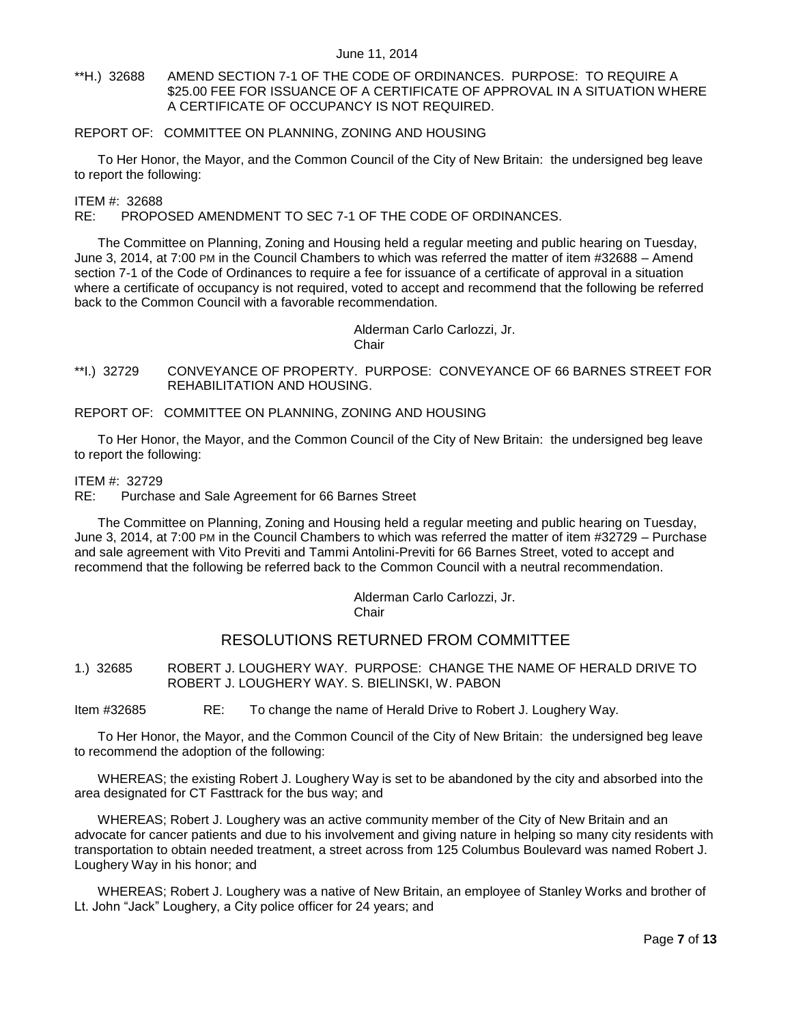<span id="page-6-0"></span>\*\*H.) 32688 AMEND SECTION 7-1 OF THE CODE OF ORDINANCES. PURPOSE: TO REQUIRE A \$25.00 FEE FOR ISSUANCE OF A CERTIFICATE OF APPROVAL IN A SITUATION WHERE A CERTIFICATE OF OCCUPANCY IS NOT REQUIRED.

### REPORT OF: COMMITTEE ON PLANNING, ZONING AND HOUSING

To Her Honor, the Mayor, and the Common Council of the City of New Britain: the undersigned beg leave to report the following:

#### ITEM #: 32688

RE: PROPOSED AMENDMENT TO SEC 7-1 OF THE CODE OF ORDINANCES.

The Committee on Planning, Zoning and Housing held a regular meeting and public hearing on Tuesday, June 3, 2014, at 7:00 PM in the Council Chambers to which was referred the matter of item #32688 – Amend section 7-1 of the Code of Ordinances to require a fee for issuance of a certificate of approval in a situation where a certificate of occupancy is not required, voted to accept and recommend that the following be referred back to the Common Council with a favorable recommendation.

Alderman Carlo Carlozzi, Jr.

**Chair** 

<span id="page-6-1"></span>\*\*I.) 32729 CONVEYANCE OF PROPERTY. PURPOSE: CONVEYANCE OF 66 BARNES STREET FOR REHABILITATION AND HOUSING.

REPORT OF: COMMITTEE ON PLANNING, ZONING AND HOUSING

To Her Honor, the Mayor, and the Common Council of the City of New Britain: the undersigned beg leave to report the following:

#### ITEM #: 32729

RE: Purchase and Sale Agreement for 66 Barnes Street

The Committee on Planning, Zoning and Housing held a regular meeting and public hearing on Tuesday, June 3, 2014, at 7:00 PM in the Council Chambers to which was referred the matter of item #32729 – Purchase and sale agreement with Vito Previti and Tammi Antolini-Previti for 66 Barnes Street, voted to accept and recommend that the following be referred back to the Common Council with a neutral recommendation.

Alderman Carlo Carlozzi, Jr.

**Chair** 

# RESOLUTIONS RETURNED FROM COMMITTEE

<span id="page-6-2"></span>1.) 32685 ROBERT J. LOUGHERY WAY. PURPOSE: CHANGE THE NAME OF HERALD DRIVE TO ROBERT J. LOUGHERY WAY. S. BIELINSKI, W. PABON

Item #32685 RE: To change the name of Herald Drive to Robert J. Loughery Way.

To Her Honor, the Mayor, and the Common Council of the City of New Britain: the undersigned beg leave to recommend the adoption of the following:

WHEREAS; the existing Robert J. Loughery Way is set to be abandoned by the city and absorbed into the area designated for CT Fasttrack for the bus way; and

WHEREAS; Robert J. Loughery was an active community member of the City of New Britain and an advocate for cancer patients and due to his involvement and giving nature in helping so many city residents with transportation to obtain needed treatment, a street across from 125 Columbus Boulevard was named Robert J. Loughery Way in his honor; and

WHEREAS; Robert J. Loughery was a native of New Britain, an employee of Stanley Works and brother of Lt. John "Jack" Loughery, a City police officer for 24 years; and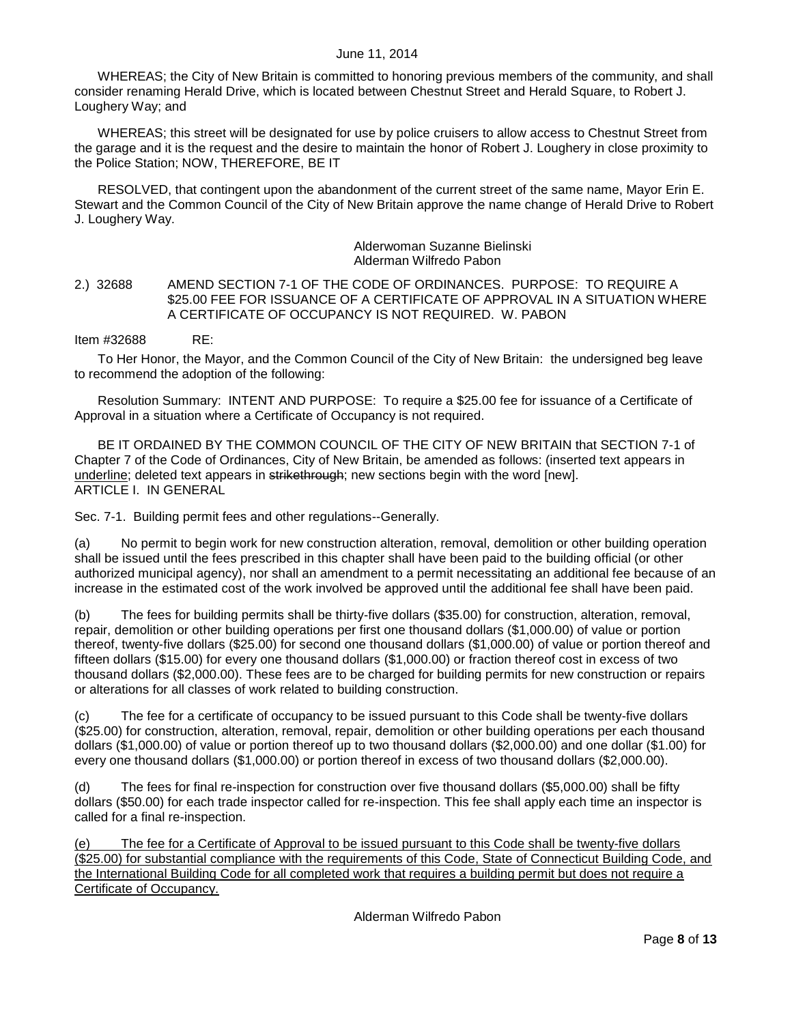WHEREAS; the City of New Britain is committed to honoring previous members of the community, and shall consider renaming Herald Drive, which is located between Chestnut Street and Herald Square, to Robert J. Loughery Way; and

WHEREAS; this street will be designated for use by police cruisers to allow access to Chestnut Street from the garage and it is the request and the desire to maintain the honor of Robert J. Loughery in close proximity to the Police Station; NOW, THEREFORE, BE IT

RESOLVED, that contingent upon the abandonment of the current street of the same name, Mayor Erin E. Stewart and the Common Council of the City of New Britain approve the name change of Herald Drive to Robert J. Loughery Way.

### Alderwoman Suzanne Bielinski Alderman Wilfredo Pabon

<span id="page-7-0"></span>2.) 32688 AMEND SECTION 7-1 OF THE CODE OF ORDINANCES. PURPOSE: TO REQUIRE A \$25.00 FEE FOR ISSUANCE OF A CERTIFICATE OF APPROVAL IN A SITUATION WHERE A CERTIFICATE OF OCCUPANCY IS NOT REQUIRED. W. PABON

Item #32688 RE:

To Her Honor, the Mayor, and the Common Council of the City of New Britain: the undersigned beg leave to recommend the adoption of the following:

Resolution Summary: INTENT AND PURPOSE: To require a \$25.00 fee for issuance of a Certificate of Approval in a situation where a Certificate of Occupancy is not required.

BE IT ORDAINED BY THE COMMON COUNCIL OF THE CITY OF NEW BRITAIN that SECTION 7-1 of Chapter 7 of the Code of Ordinances, City of New Britain, be amended as follows: (inserted text appears in underline; deleted text appears in strikethrough; new sections begin with the word [new]. ARTICLE I. IN GENERAL

Sec. 7-1. Building permit fees and other regulations--Generally.

(a) No permit to begin work for new construction alteration, removal, demolition or other building operation shall be issued until the fees prescribed in this chapter shall have been paid to the building official (or other authorized municipal agency), nor shall an amendment to a permit necessitating an additional fee because of an increase in the estimated cost of the work involved be approved until the additional fee shall have been paid.

(b) The fees for building permits shall be thirty-five dollars (\$35.00) for construction, alteration, removal, repair, demolition or other building operations per first one thousand dollars (\$1,000.00) of value or portion thereof, twenty-five dollars (\$25.00) for second one thousand dollars (\$1,000.00) of value or portion thereof and fifteen dollars (\$15.00) for every one thousand dollars (\$1,000.00) or fraction thereof cost in excess of two thousand dollars (\$2,000.00). These fees are to be charged for building permits for new construction or repairs or alterations for all classes of work related to building construction.

(c) The fee for a certificate of occupancy to be issued pursuant to this Code shall be twenty-five dollars (\$25.00) for construction, alteration, removal, repair, demolition or other building operations per each thousand dollars (\$1,000.00) of value or portion thereof up to two thousand dollars (\$2,000.00) and one dollar (\$1.00) for every one thousand dollars (\$1,000.00) or portion thereof in excess of two thousand dollars (\$2,000.00).

(d) The fees for final re-inspection for construction over five thousand dollars (\$5,000.00) shall be fifty dollars (\$50.00) for each trade inspector called for re-inspection. This fee shall apply each time an inspector is called for a final re-inspection.

(e) The fee for a Certificate of Approval to be issued pursuant to this Code shall be twenty-five dollars (\$25.00) for substantial compliance with the requirements of this Code, State of Connecticut Building Code, and the International Building Code for all completed work that requires a building permit but does not require a Certificate of Occupancy.

Alderman Wilfredo Pabon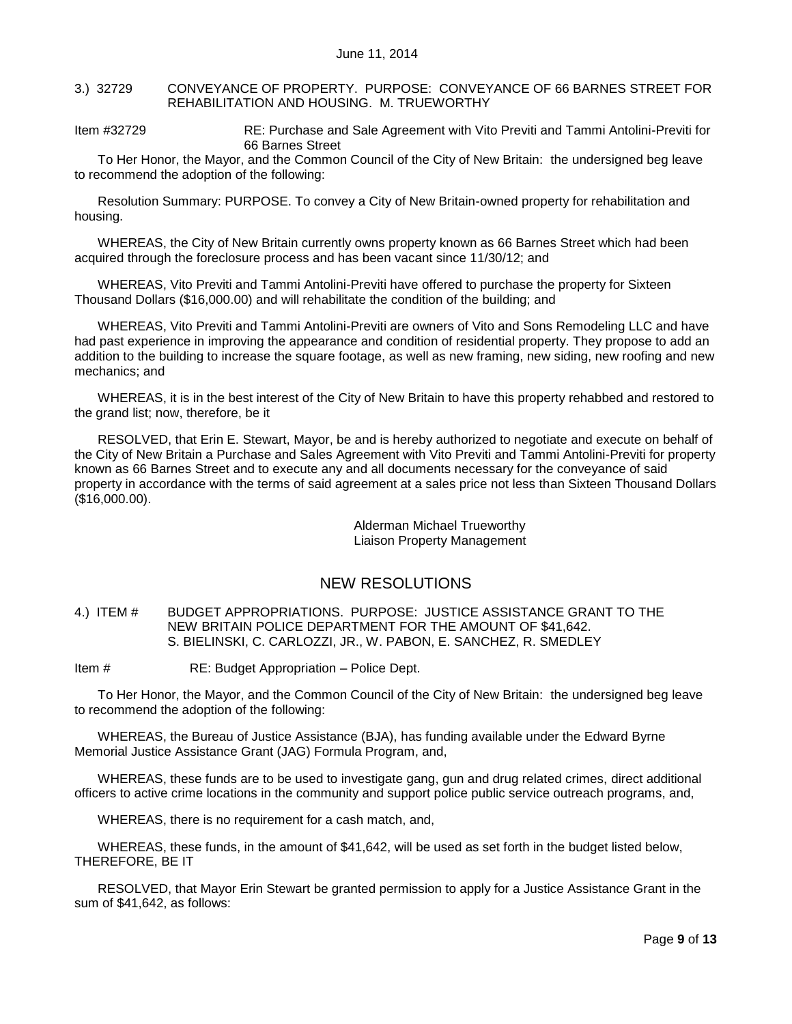### <span id="page-8-0"></span>3.) 32729 CONVEYANCE OF PROPERTY. PURPOSE: CONVEYANCE OF 66 BARNES STREET FOR REHABILITATION AND HOUSING. M. TRUEWORTHY

Item #32729 RE: Purchase and Sale Agreement with Vito Previti and Tammi Antolini-Previti for 66 Barnes Street

To Her Honor, the Mayor, and the Common Council of the City of New Britain: the undersigned beg leave to recommend the adoption of the following:

Resolution Summary: PURPOSE. To convey a City of New Britain-owned property for rehabilitation and housing.

WHEREAS, the City of New Britain currently owns property known as 66 Barnes Street which had been acquired through the foreclosure process and has been vacant since 11/30/12; and

WHEREAS, Vito Previti and Tammi Antolini-Previti have offered to purchase the property for Sixteen Thousand Dollars (\$16,000.00) and will rehabilitate the condition of the building; and

WHEREAS, Vito Previti and Tammi Antolini-Previti are owners of Vito and Sons Remodeling LLC and have had past experience in improving the appearance and condition of residential property. They propose to add an addition to the building to increase the square footage, as well as new framing, new siding, new roofing and new mechanics; and

WHEREAS, it is in the best interest of the City of New Britain to have this property rehabbed and restored to the grand list; now, therefore, be it

RESOLVED, that Erin E. Stewart, Mayor, be and is hereby authorized to negotiate and execute on behalf of the City of New Britain a Purchase and Sales Agreement with Vito Previti and Tammi Antolini-Previti for property known as 66 Barnes Street and to execute any and all documents necessary for the conveyance of said property in accordance with the terms of said agreement at a sales price not less than Sixteen Thousand Dollars (\$16,000.00).

> Alderman Michael Trueworthy Liaison Property Management

# NEW RESOLUTIONS

<span id="page-8-1"></span>4.) ITEM # BUDGET APPROPRIATIONS. PURPOSE: JUSTICE ASSISTANCE GRANT TO THE NEW BRITAIN POLICE DEPARTMENT FOR THE AMOUNT OF \$41,642. S. BIELINSKI, C. CARLOZZI, JR., W. PABON, E. SANCHEZ, R. SMEDLEY

Item # RE: Budget Appropriation – Police Dept.

To Her Honor, the Mayor, and the Common Council of the City of New Britain: the undersigned beg leave to recommend the adoption of the following:

WHEREAS, the Bureau of Justice Assistance (BJA), has funding available under the Edward Byrne Memorial Justice Assistance Grant (JAG) Formula Program, and,

WHEREAS, these funds are to be used to investigate gang, gun and drug related crimes, direct additional officers to active crime locations in the community and support police public service outreach programs, and,

WHEREAS, there is no requirement for a cash match, and,

WHEREAS, these funds, in the amount of \$41,642, will be used as set forth in the budget listed below, THEREFORE, BE IT

RESOLVED, that Mayor Erin Stewart be granted permission to apply for a Justice Assistance Grant in the sum of \$41,642, as follows: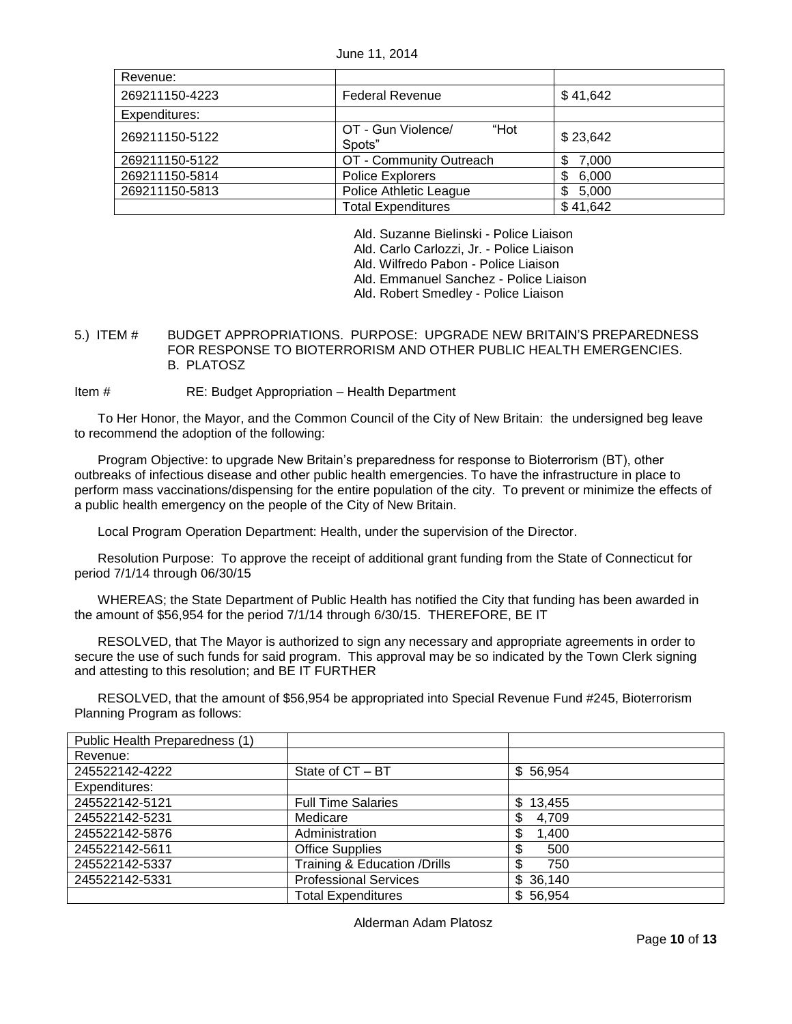June 11, 2014

| Revenue:       |                                      |            |
|----------------|--------------------------------------|------------|
| 269211150-4223 | <b>Federal Revenue</b>               | \$41,642   |
| Expenditures:  |                                      |            |
| 269211150-5122 | OT - Gun Violence/<br>"Hot<br>Spots" | \$23,642   |
| 269211150-5122 | OT - Community Outreach              | 7,000<br>S |
| 269211150-5814 | Police Explorers                     | 6,000<br>S |
| 269211150-5813 | Police Athletic League               | 5,000      |
|                | <b>Total Expenditures</b>            | \$41,642   |

Ald. Suzanne Bielinski - Police Liaison

Ald. Carlo Carlozzi, Jr. - Police Liaison

Ald. Wilfredo Pabon - Police Liaison

Ald. Emmanuel Sanchez - Police Liaison

Ald. Robert Smedley - Police Liaison

### <span id="page-9-0"></span>5.) ITEM # BUDGET APPROPRIATIONS. PURPOSE: UPGRADE NEW BRITAIN'S PREPAREDNESS FOR RESPONSE TO BIOTERRORISM AND OTHER PUBLIC HEALTH EMERGENCIES. B. PLATOSZ

Item # RE: Budget Appropriation – Health Department

To Her Honor, the Mayor, and the Common Council of the City of New Britain: the undersigned beg leave to recommend the adoption of the following:

Program Objective: to upgrade New Britain's preparedness for response to Bioterrorism (BT), other outbreaks of infectious disease and other public health emergencies. To have the infrastructure in place to perform mass vaccinations/dispensing for the entire population of the city. To prevent or minimize the effects of a public health emergency on the people of the City of New Britain.

Local Program Operation Department: Health, under the supervision of the Director.

Resolution Purpose: To approve the receipt of additional grant funding from the State of Connecticut for period 7/1/14 through 06/30/15

WHEREAS; the State Department of Public Health has notified the City that funding has been awarded in the amount of \$56,954 for the period 7/1/14 through 6/30/15. THEREFORE, BE IT

RESOLVED, that The Mayor is authorized to sign any necessary and appropriate agreements in order to secure the use of such funds for said program. This approval may be so indicated by the Town Clerk signing and attesting to this resolution; and BE IT FURTHER

RESOLVED, that the amount of \$56,954 be appropriated into Special Revenue Fund #245, Bioterrorism Planning Program as follows:

| Public Health Preparedness (1) |                              |               |
|--------------------------------|------------------------------|---------------|
| Revenue:                       |                              |               |
| 245522142-4222                 | State of CT - BT             | \$56,954      |
| Expenditures:                  |                              |               |
| 245522142-5121                 | <b>Full Time Salaries</b>    | \$<br>13,455  |
| 245522142-5231                 | Medicare                     | \$<br>4,709   |
| 245522142-5876                 | Administration               | S<br>1,400    |
| 245522142-5611                 | <b>Office Supplies</b>       | 500           |
| 245522142-5337                 | Training & Education /Drills | 750           |
| 245522142-5331                 | <b>Professional Services</b> | \$<br>36,140  |
|                                | <b>Total Expenditures</b>    | 56,954<br>\$. |

Alderman Adam Platosz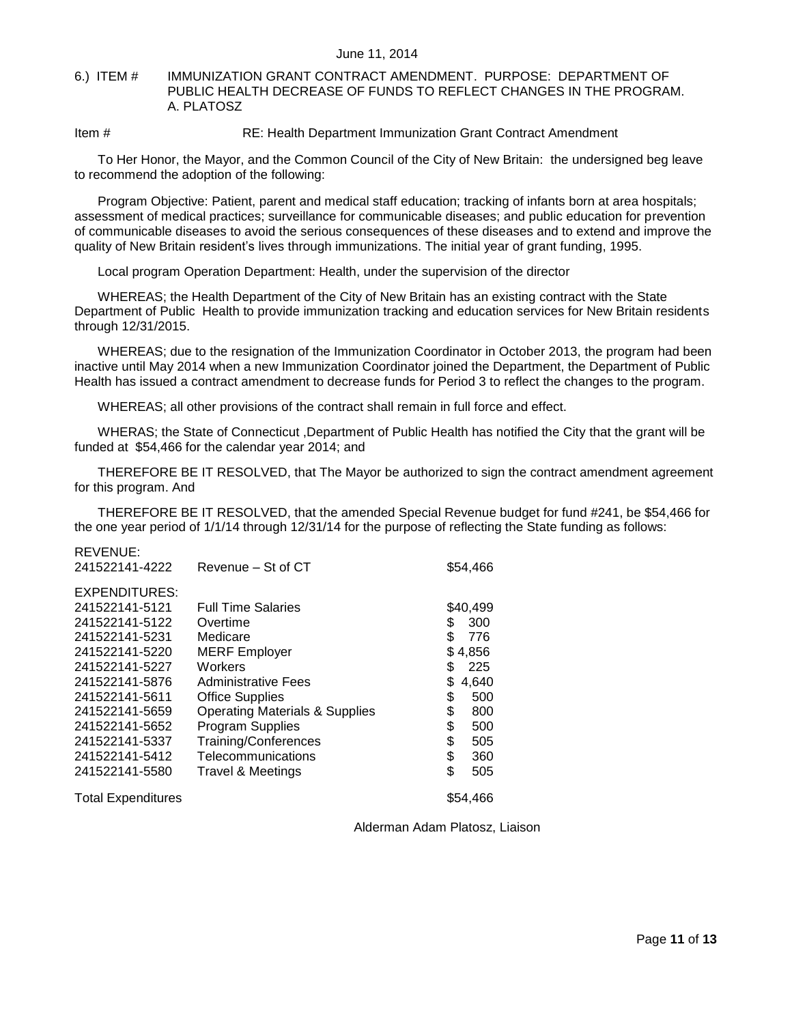#### <span id="page-10-0"></span>6.) ITEM # IMMUNIZATION GRANT CONTRACT AMENDMENT. PURPOSE: DEPARTMENT OF PUBLIC HEALTH DECREASE OF FUNDS TO REFLECT CHANGES IN THE PROGRAM. A. PLATOSZ

Item # RE: Health Department Immunization Grant Contract Amendment

To Her Honor, the Mayor, and the Common Council of the City of New Britain: the undersigned beg leave to recommend the adoption of the following:

Program Objective: Patient, parent and medical staff education; tracking of infants born at area hospitals; assessment of medical practices; surveillance for communicable diseases; and public education for prevention of communicable diseases to avoid the serious consequences of these diseases and to extend and improve the quality of New Britain resident's lives through immunizations. The initial year of grant funding, 1995.

Local program Operation Department: Health, under the supervision of the director

WHEREAS; the Health Department of the City of New Britain has an existing contract with the State Department of Public Health to provide immunization tracking and education services for New Britain residents through 12/31/2015.

WHEREAS; due to the resignation of the Immunization Coordinator in October 2013, the program had been inactive until May 2014 when a new Immunization Coordinator joined the Department, the Department of Public Health has issued a contract amendment to decrease funds for Period 3 to reflect the changes to the program.

WHEREAS; all other provisions of the contract shall remain in full force and effect.

WHERAS; the State of Connecticut ,Department of Public Health has notified the City that the grant will be funded at \$54,466 for the calendar year 2014; and

THEREFORE BE IT RESOLVED, that The Mayor be authorized to sign the contract amendment agreement for this program. And

THEREFORE BE IT RESOLVED, that the amended Special Revenue budget for fund #241, be \$54,466 for the one year period of 1/1/14 through 12/31/14 for the purpose of reflecting the State funding as follows:

| 241522141-4222            | Revenue – St of CT                        | \$54,466    |
|---------------------------|-------------------------------------------|-------------|
| EXPENDITURES:             |                                           |             |
| 241522141-5121            | <b>Full Time Salaries</b>                 | \$40,499    |
| 241522141-5122            | Overtime                                  | \$<br>300   |
| 241522141-5231            | Medicare                                  | \$<br>776   |
| 241522141-5220            | <b>MERF</b> Employer                      | \$4,856     |
| 241522141-5227            | Workers                                   | \$<br>225   |
| 241522141-5876            | <b>Administrative Fees</b>                | \$<br>4.640 |
| 241522141-5611            | <b>Office Supplies</b>                    | \$<br>500   |
| 241522141-5659            | <b>Operating Materials &amp; Supplies</b> | \$<br>800   |
| 241522141-5652            | Program Supplies                          | \$<br>500   |
| 241522141-5337            | Training/Conferences                      | \$<br>505   |
| 241522141-5412            | Telecommunications                        | \$<br>360   |
| 241522141-5580            | <b>Travel &amp; Meetings</b>              | \$<br>505   |
| <b>Total Expenditures</b> |                                           | \$54.466    |

Alderman Adam Platosz, Liaison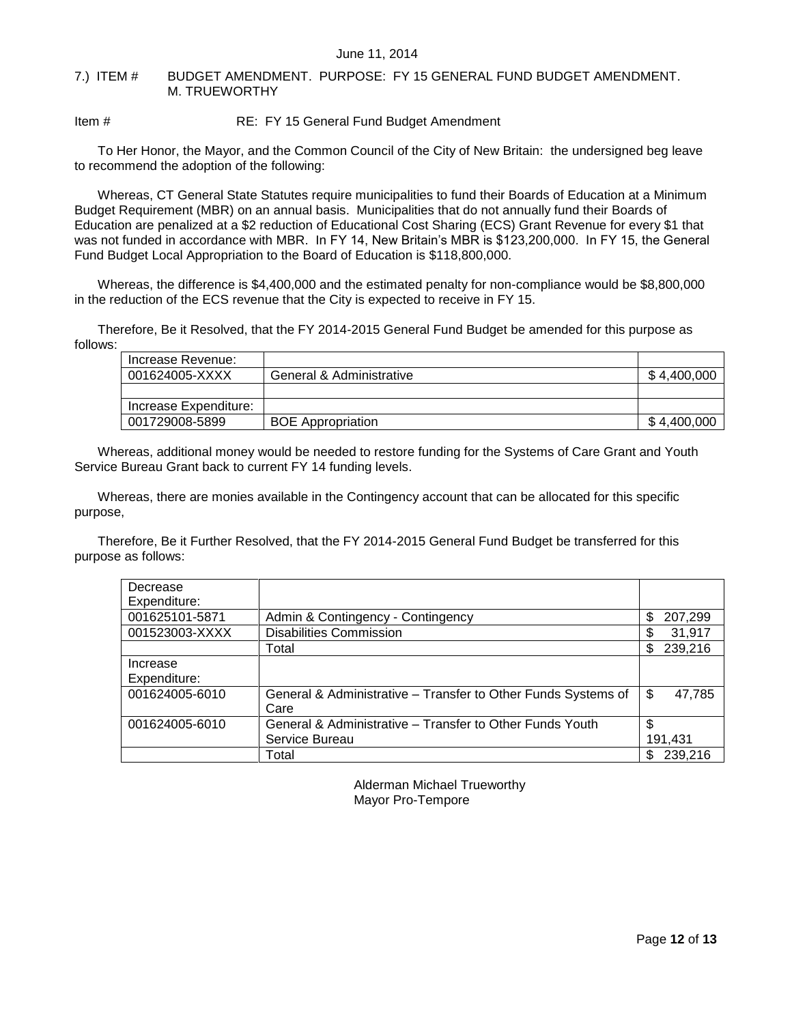### <span id="page-11-0"></span>7.) ITEM # BUDGET AMENDMENT. PURPOSE: FY 15 GENERAL FUND BUDGET AMENDMENT. M. TRUEWORTHY

## Item # RE: FY 15 General Fund Budget Amendment

To Her Honor, the Mayor, and the Common Council of the City of New Britain: the undersigned beg leave to recommend the adoption of the following:

Whereas, CT General State Statutes require municipalities to fund their Boards of Education at a Minimum Budget Requirement (MBR) on an annual basis. Municipalities that do not annually fund their Boards of Education are penalized at a \$2 reduction of Educational Cost Sharing (ECS) Grant Revenue for every \$1 that was not funded in accordance with MBR. In FY 14, New Britain's MBR is \$123,200,000. In FY 15, the General Fund Budget Local Appropriation to the Board of Education is \$118,800,000.

Whereas, the difference is \$4,400,000 and the estimated penalty for non-compliance would be \$8,800,000 in the reduction of the ECS revenue that the City is expected to receive in FY 15.

Therefore, Be it Resolved, that the FY 2014-2015 General Fund Budget be amended for this purpose as follows:

| Increase Revenue:     |                          |             |
|-----------------------|--------------------------|-------------|
| 001624005-XXXX        | General & Administrative | \$4.400.000 |
|                       |                          |             |
| Increase Expenditure: |                          |             |
| 001729008-5899        | <b>BOE</b> Appropriation | \$4.400.000 |

Whereas, additional money would be needed to restore funding for the Systems of Care Grant and Youth Service Bureau Grant back to current FY 14 funding levels.

Whereas, there are monies available in the Contingency account that can be allocated for this specific purpose,

Therefore, Be it Further Resolved, that the FY 2014-2015 General Fund Budget be transferred for this purpose as follows:

| Decrease       |                                                               |               |
|----------------|---------------------------------------------------------------|---------------|
| Expenditure:   |                                                               |               |
| 001625101-5871 | Admin & Contingency - Contingency                             | 207,299<br>S  |
| 001523003-XXXX | <b>Disabilities Commission</b>                                | 31,917        |
|                | Total                                                         | 239,216<br>\$ |
| Increase       |                                                               |               |
| Expenditure:   |                                                               |               |
| 001624005-6010 | General & Administrative - Transfer to Other Funds Systems of | \$<br>47,785  |
|                | Care                                                          |               |
| 001624005-6010 | General & Administrative - Transfer to Other Funds Youth      | \$            |
|                | Service Bureau                                                |               |
|                | Total                                                         | 239,216       |

Alderman Michael Trueworthy Mayor Pro-Tempore